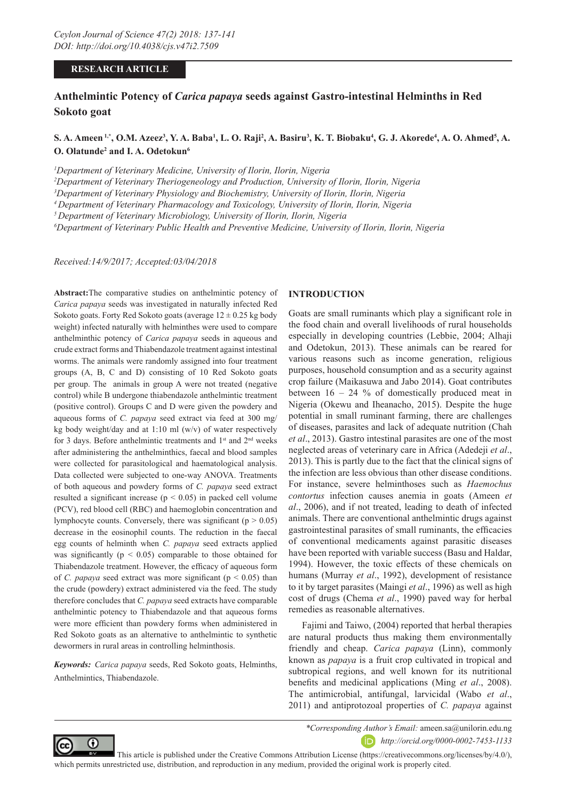#### **RESEARCH ARTICLE**

# **Anthelmintic Potency of** *Carica papaya* **seeds against Gastro-intestinal Helminths in Red Sokoto goat**

## $\bf S.$  A. Ameen <sup>1,\*</sup>, O.M. Azeez<sup>3</sup>, Y. A. Baba<sup>1</sup>, L. O. Raji<sup>2</sup>, A. Basiru<sup>3</sup>, K. T. Biobaku<sup>4</sup>, G. J. Akorede<sup>4</sup>, A. O. Ahmed<sup>5</sup>, A. **O. Olatunde<sup>2</sup> and I. A. Odetokun<sup>6</sup>**

*1 Department of Veterinary Medicine, University of Ilorin, Ilorin, Nigeria* 

*2 Department of Veterinary Theriogeneology and Production, University of Ilorin, Ilorin, Nigeria*

*3 Department of Veterinary Physiology and Biochemistry, University of Ilorin, Ilorin, Nigeria*

*4 Department of Veterinary Pharmacology and Toxicology, University of Ilorin, Ilorin, Nigeria*

*5 Department of Veterinary Microbiology, University of Ilorin, Ilorin, Nigeria*

*6 Department of Veterinary Public Health and Preventive Medicine, University of Ilorin, Ilorin, Nigeria*

*Received:14/9/2017; Accepted:03/04/2018*

**Abstract:**The comparative studies on anthelmintic potency of *Carica papaya* seeds was investigated in naturally infected Red Sokoto goats. Forty Red Sokoto goats (average  $12 \pm 0.25$  kg body weight) infected naturally with helminthes were used to compare anthelminthic potency of *Carica papaya* seeds in aqueous and crude extract forms and Thiabendazole treatment against intestinal worms. The animals were randomly assigned into four treatment groups (A, B, C and D) consisting of 10 Red Sokoto goats per group. The animals in group A were not treated (negative control) while B undergone thiabendazole anthelmintic treatment (positive control). Groups C and D were given the powdery and aqueous forms of *C. papaya* seed extract via feed at 300 mg/ kg body weight/day and at 1:10 ml  $(w/v)$  of water respectively for 3 days. Before anthelmintic treatments and 1<sup>st</sup> and 2<sup>nd</sup> weeks after administering the anthelminthics, faecal and blood samples were collected for parasitological and haematological analysis. Data collected were subjected to one-way ANOVA. Treatments of both aqueous and powdery forms of *C. papaya* seed extract resulted a significant increase ( $p < 0.05$ ) in packed cell volume (PCV), red blood cell (RBC) and haemoglobin concentration and lymphocyte counts. Conversely, there was significant ( $p > 0.05$ ) decrease in the eosinophil counts. The reduction in the faecal egg counts of helminth when *C. papaya* seed extracts applied was significantly ( $p < 0.05$ ) comparable to those obtained for Thiabendazole treatment. However, the efficacy of aqueous form of *C. papaya* seed extract was more significant ( $p < 0.05$ ) than the crude (powdery) extract administered via the feed. The study therefore concludes that *C. papaya* seed extracts have comparable anthelmintic potency to Thiabendazole and that aqueous forms were more efficient than powdery forms when administered in Red Sokoto goats as an alternative to anthelmintic to synthetic dewormers in rural areas in controlling helminthosis.

*Keywords: Carica papaya* seeds, Red Sokoto goats, Helminths, Anthelmintics, Thiabendazole.

#### **INTRODUCTION**

Goats are small ruminants which play a significant role in the food chain and overall livelihoods of rural households especially in developing countries (Lebbie, 2004; Alhaji and Odetokun, 2013). These animals can be reared for various reasons such as income generation, religious purposes, household consumption and as a security against crop failure (Maikasuwa and Jabo 2014). Goat contributes between  $16 - 24$  % of domestically produced meat in Nigeria (Okewu and Iheanacho, 2015). Despite the huge potential in small ruminant farming, there are challenges of diseases, parasites and lack of adequate nutrition (Chah *et al*., 2013). Gastro intestinal parasites are one of the most neglected areas of veterinary care in Africa (Adedeji *et al*., 2013). This is partly due to the fact that the clinical signs of the infection are less obvious than other disease conditions. For instance, severe helminthoses such as *Haemochus contortus* infection causes anemia in goats (Ameen *et al*., 2006), and if not treated, leading to death of infected animals. There are conventional anthelmintic drugs against gastrointestinal parasites of small ruminants, the efficacies of conventional medicaments against parasitic diseases have been reported with variable success (Basu and Haldar, 1994). However, the toxic effects of these chemicals on humans (Murray *et al*., 1992), development of resistance to it by target parasites (Maingi *et al*., 1996) as well as high cost of drugs (Chema *et al*., 1990) paved way for herbal remedies as reasonable alternatives.

Fajimi and Taiwo, (2004) reported that herbal therapies are natural products thus making them environmentally friendly and cheap. *Carica papaya* (Linn), commonly known as *papaya* is a fruit crop cultivated in tropical and subtropical regions, and well known for its nutritional benefits and medicinal applications (Ming *et al*., 2008). The antimicrobial, antifungal, larvicidal (Wabo *et al*., 2011) and antiprotozoal properties of *C. papaya* against



*\*Corresponding Author's Email:* ameen.sa@unilorin.edu.ng *http://orcid.org/0000-0002-7453-1133*

 This article is published under the Creative Commons Attribution License (https://creativecommons.org/licenses/by/4.0/), which permits unrestricted use, distribution, and reproduction in any medium, provided the original work is properly cited.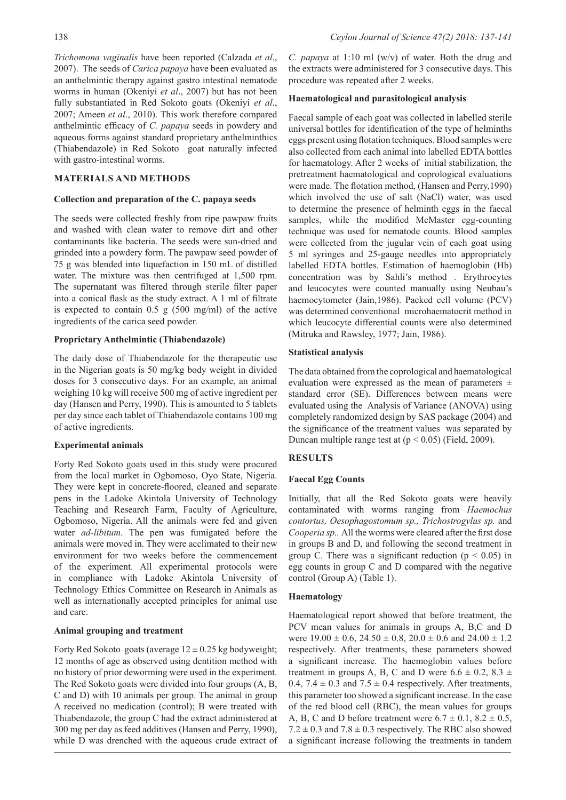*Trichomona vaginalis* have been reported (Calzada *et al*., 2007). The seeds of *Carica papaya* have been evaluated as an anthelmintic therapy against gastro intestinal nematode worms in human (Okeniyi *et al*., 2007) but has not been fully substantiated in Red Sokoto goats (Okeniyi *et al*., 2007; Ameen *et al*., 2010). This work therefore compared anthelmintic efficacy of *C. papaya* seeds in powdery and aqueous forms against standard proprietary anthelminthics (Thiabendazole) in Red Sokoto goat naturally infected with gastro-intestinal worms.

#### **MATERIALS AND METHODS**

#### **Collection and preparation of the C. papaya seeds**

The seeds were collected freshly from ripe pawpaw fruits and washed with clean water to remove dirt and other contaminants like bacteria. The seeds were sun-dried and grinded into a powdery form. The pawpaw seed powder of 75 g was blended into liquefaction in 150 mL of distilled water. The mixture was then centrifuged at 1,500 rpm. The supernatant was filtered through sterile filter paper into a conical flask as the study extract. A 1 ml of filtrate is expected to contain 0.5 g (500 mg/ml) of the active ingredients of the carica seed powder.

#### **Proprietary Anthelmintic (Thiabendazole)**

The daily dose of Thiabendazole for the therapeutic use in the Nigerian goats is 50 mg/kg body weight in divided doses for 3 consecutive days. For an example, an animal weighing 10 kg will receive 500 mg of active ingredient per day (Hansen and Perry, 1990). This is amounted to 5 tablets per day since each tablet of Thiabendazole contains 100 mg of active ingredients.

#### **Experimental animals**

Forty Red Sokoto goats used in this study were procured from the local market in Ogbomoso, Oyo State, Nigeria. They were kept in concrete-floored, cleaned and separate pens in the Ladoke Akintola University of Technology Teaching and Research Farm, Faculty of Agriculture, Ogbomoso, Nigeria. All the animals were fed and given water *ad-libitum*. The pen was fumigated before the animals were moved in. They were acclimated to their new environment for two weeks before the commencement of the experiment. All experimental protocols were in compliance with Ladoke Akintola University of Technology Ethics Committee on Research in Animals as well as internationally accepted principles for animal use and care.

#### **Animal grouping and treatment**

Forty Red Sokoto goats (average  $12 \pm 0.25$  kg bodyweight; 12 months of age as observed using dentition method with no history of prior deworming were used in the experiment. The Red Sokoto goats were divided into four groups (A, B, C and D) with 10 animals per group. The animal in group A received no medication (control); B were treated with Thiabendazole, the group C had the extract administered at 300 mg per day as feed additives (Hansen and Perry, 1990), while D was drenched with the aqueous crude extract of *C. papaya* at 1:10 ml (w/v) of water. Both the drug and the extracts were administered for 3 consecutive days. This procedure was repeated after 2 weeks.

#### **Haematological and parasitological analysis**

Faecal sample of each goat was collected in labelled sterile universal bottles for identification of the type of helminths eggs present using flotation techniques. Blood samples were also collected from each animal into labelled EDTA bottles for haematology. After 2 weeks of initial stabilization, the pretreatment haematological and coprological evaluations were made. The flotation method, (Hansen and Perry,1990) which involved the use of salt (NaCl) water, was used to determine the presence of helminth eggs in the faecal samples, while the modified McMaster egg-counting technique was used for nematode counts. Blood samples were collected from the jugular vein of each goat using 5 ml syringes and 25-gauge needles into appropriately labelled EDTA bottles. Estimation of haemoglobin (Hb) concentration was by Sahli's method . Erythrocytes and leucocytes were counted manually using Neubau's haemocytometer (Jain,1986). Packed cell volume (PCV) was determined conventional microhaematocrit method in which leucocyte differential counts were also determined (Mitruka and Rawsley, 1977; Jain, 1986).

#### **Statistical analysis**

The data obtained from the coprological and haematological evaluation were expressed as the mean of parameters  $\pm$ standard error (SE). Differences between means were evaluated using the Analysis of Variance (ANOVA) using completely randomized design by SAS package (2004) and the significance of the treatment values was separated by Duncan multiple range test at  $(p < 0.05)$  (Field, 2009).

### **RESULTS**

#### **Faecal Egg Counts**

Initially, that all the Red Sokoto goats were heavily contaminated with worms ranging from *Haemochus contortus, Oesophagostomum sp., Trichostrogylus sp.* and *Cooperia sp..* All the worms were cleared after the first dose in groups B and D, and following the second treatment in group C. There was a significant reduction ( $p < 0.05$ ) in egg counts in group C and D compared with the negative control (Group A) (Table 1).

#### **Haematology**

Haematological report showed that before treatment, the PCV mean values for animals in groups A, B,C and D were  $19.00 \pm 0.6$ ,  $24.50 \pm 0.8$ ,  $20.0 \pm 0.6$  and  $24.00 \pm 1.2$ respectively. After treatments, these parameters showed a significant increase. The haemoglobin values before treatment in groups A, B, C and D were  $6.6 \pm 0.2$ ,  $8.3 \pm 1$ 0.4,  $7.4 \pm 0.3$  and  $7.5 \pm 0.4$  respectively. After treatments, this parameter too showed a significant increase. In the case of the red blood cell (RBC), the mean values for groups A, B, C and D before treatment were  $6.7 \pm 0.1$ ,  $8.2 \pm 0.5$ ,  $7.2 \pm 0.3$  and  $7.8 \pm 0.3$  respectively. The RBC also showed a significant increase following the treatments in tandem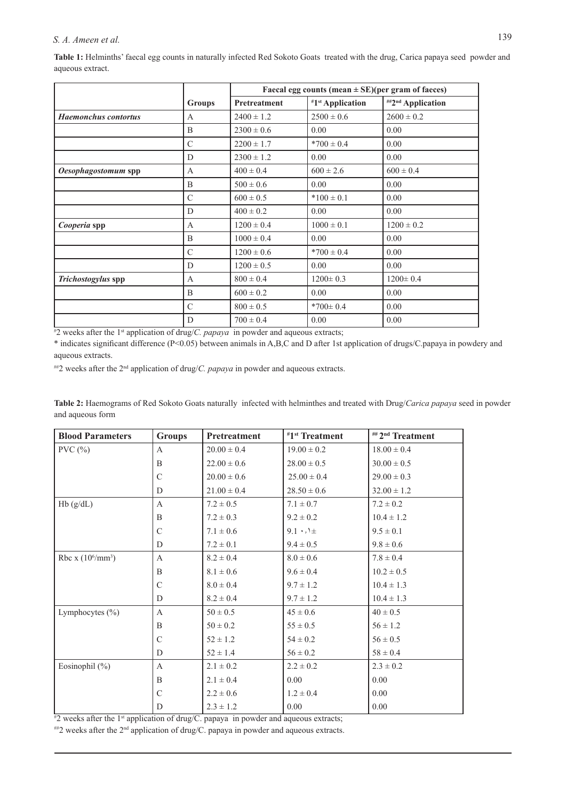# *S. A. Ameen et al.* 139

Table 1: Helminths' faecal egg counts in naturally infected Red Sokoto Goats treated with the drug, Carica papaya seed powder and aqueous extract.

|                             |               | Faecal egg counts (mean $\pm$ SE)(per gram of faeces) |                              |                   |
|-----------------------------|---------------|-------------------------------------------------------|------------------------------|-------------------|
|                             | <b>Groups</b> | Pretreatment                                          | #1 <sup>st</sup> Application | ##2nd Application |
| <b>Haemonchus</b> contortus | $\mathsf{A}$  | $2400 \pm 1.2$                                        | $2500 \pm 0.6$               | $2600 \pm 0.2$    |
|                             | B             | $2300 \pm 0.6$                                        | 0.00                         | 0.00              |
|                             | $\mathcal{C}$ | $2200 \pm 1.7$                                        | $*700 \pm 0.4$               | 0.00              |
|                             | D             | $2300 \pm 1.2$                                        | 0.00                         | 0.00              |
| Oesophagostomum spp         | $\mathbf{A}$  | $400 \pm 0.4$                                         | $600 \pm 2.6$                | $600 \pm 0.4$     |
|                             | B             | $500 \pm 0.6$                                         | 0.00                         | 0.00              |
|                             | $\mathcal{C}$ | $600 \pm 0.5$                                         | $*100 \pm 0.1$               | 0.00              |
|                             | D             | $400 \pm 0.2$                                         | 0.00                         | 0.00              |
| Cooperia spp                | A             | $1200 \pm 0.4$                                        | $1000 \pm 0.1$               | $1200 \pm 0.2$    |
|                             | B             | $1000 \pm 0.4$                                        | 0.00                         | 0.00              |
|                             | $\mathcal{C}$ | $1200 \pm 0.6$                                        | $*700 \pm 0.4$               | 0.00              |
|                             | D             | $1200 \pm 0.5$                                        | 0.00                         | 0.00              |
| Trichostogylus spp          | $\mathbf{A}$  | $800 \pm 0.4$                                         | $1200 \pm 0.3$               | $1200 \pm 0.4$    |
|                             | B             | $600 \pm 0.2$                                         | 0.00                         | 0.00              |
|                             | $\mathcal{C}$ | $800 \pm 0.5$                                         | $*700 \pm 0.4$               | 0.00              |
|                             | D             | $700 \pm 0.4$                                         | 0.00                         | 0.00              |

# 2 weeks after the 1st application of drug/*C. papaya* in powder and aqueous extracts;

\* indicates significant difference (P<0.05) between animals in A,B,C and D after 1st application of drugs/C.papaya in powdery and aqueous extracts.

##2 weeks after the 2nd application of drug/*C. papaya* in powder and aqueous extracts.

**Table 2:** Haemograms of Red Sokoto Goats naturally infected with helminthes and treated with Drug/*Carica papaya* seed in powder and aqueous form

| <b>Blood Parameters</b>    | <b>Groups</b> | Pretreatment    | #1 <sup>st</sup> Treatment | ## 2 <sup>nd</sup> Treatment |
|----------------------------|---------------|-----------------|----------------------------|------------------------------|
| PVC(%)                     | A             | $20.00 \pm 0.4$ | $19.00 \pm 0.2$            | $18.00 \pm 0.4$              |
|                            | B             | $22.00 \pm 0.6$ | $28.00 \pm 0.5$            | $30.00 \pm 0.5$              |
|                            | C             | $20.00 \pm 0.6$ | $25.00 \pm 0.4$            | $29.00 \pm 0.3$              |
|                            | D             | $21.00 \pm 0.4$ | $28.50 \pm 0.6$            | $32.00 \pm 1.2$              |
| Hb(g/dL)                   | $\mathbf{A}$  | $7.2 \pm 0.5$   | $7.1 \pm 0.7$              | $7.2 \pm 0.2$                |
|                            | B             | $7.2 \pm 0.3$   | $9.2 \pm 0.2$              | $10.4 \pm 1.2$               |
|                            | C             | $7.1 \pm 0.6$   | $9.1 \cdot 1 +$            | $9.5 \pm 0.1$                |
|                            | D             | $7.2 \pm 0.1$   | $9.4 \pm 0.5$              | $9.8 \pm 0.6$                |
| Rbc x $(10^6/\text{mm}^3)$ | $\mathbf{A}$  | $8.2 \pm 0.4$   | $8.0 \pm 0.6$              | $7.8 \pm 0.4$                |
|                            | B             | $8.1 \pm 0.6$   | $9.6 \pm 0.4$              | $10.2 \pm 0.5$               |
|                            | C             | $8.0 \pm 0.4$   | $9.7 \pm 1.2$              | $10.4 \pm 1.3$               |
|                            | D             | $8.2 \pm 0.4$   | $9.7 \pm 1.2$              | $10.4 \pm 1.3$               |
| Lymphocytes $(\% )$        | $\mathbf{A}$  | $50 \pm 0.5$    | $45 \pm 0.6$               | $40 \pm 0.5$                 |
|                            | B             | $50 \pm 0.2$    | $55 \pm 0.5$               | $56 \pm 1.2$                 |
|                            | C             | $52 \pm 1.2$    | $54 \pm 0.2$               | $56 \pm 0.5$                 |
|                            | D             | $52 \pm 1.4$    | $56 \pm 0.2$               | $58 \pm 0.4$                 |
| Eosinophil $(\% )$         | $\mathbf{A}$  | $2.1 \pm 0.2$   | $2.2 \pm 0.2$              | $2.3 \pm 0.2$                |
|                            | <sub>B</sub>  | $2.1 \pm 0.4$   | 0.00                       | 0.00                         |
|                            | C             | $2.2 \pm 0.6$   | $1.2 \pm 0.4$              | 0.00                         |
|                            | D             | $2.3 \pm 1.2$   | 0.00                       | 0.00                         |

#2 weeks after the 1<sup>st</sup> application of drug/C. papaya in powder and aqueous extracts;

 $^{**2}$  weeks after the  $2^{nd}$  application of drug/C. papaya in powder and aqueous extracts.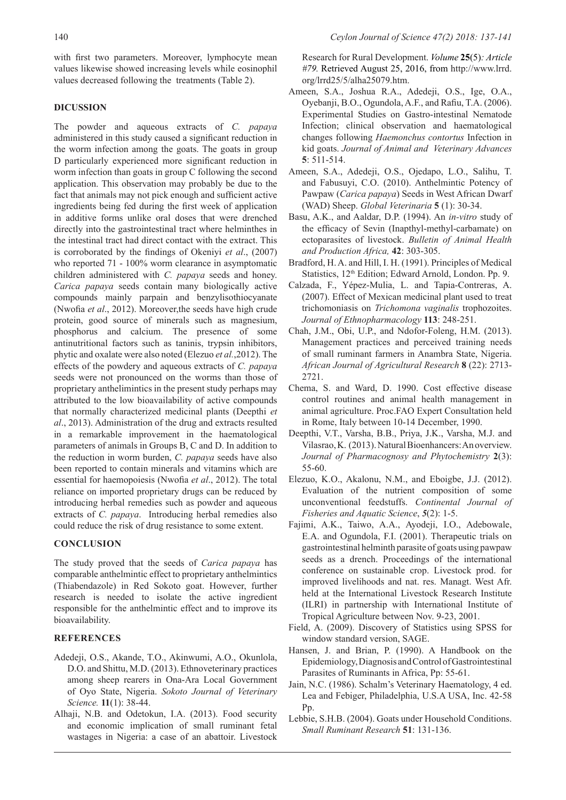with first two parameters. Moreover, lymphocyte mean values likewise showed increasing levels while eosinophil values decreased following the treatments (Table 2).

#### **DICUSSION**

The powder and aqueous extracts of *C. papaya* administered in this study caused a significant reduction in the worm infection among the goats. The goats in group D particularly experienced more significant reduction in worm infection than goats in group C following the second application. This observation may probably be due to the fact that animals may not pick enough and sufficient active ingredients being fed during the first week of application in additive forms unlike oral doses that were drenched directly into the gastrointestinal tract where helminthes in the intestinal tract had direct contact with the extract. This is corroborated by the findings of Okeniyi *et al*., (2007) who reported 71 - 100% worm clearance in asymptomatic children administered with *C. papaya* seeds and honey. *Carica papaya* seeds contain many biologically active compounds mainly parpain and benzylisothiocyanate (Nwofia *et al*., 2012). Moreover,the seeds have high crude protein, good source of minerals such as magnesium, phosphorus and calcium. The presence of some antinutritional factors such as taninis, trypsin inhibitors, phytic and oxalate were also noted (Elezuo *et al.*,2012). The effects of the powdery and aqueous extracts of *C. papaya* seeds were not pronounced on the worms than those of proprietary anthelimintics in the present study perhaps may attributed to the low bioavailability of active compounds that normally characterized medicinal plants (Deepthi *et al*., 2013). Administration of the drug and extracts resulted in a remarkable improvement in the haematological parameters of animals in Groups B, C and D. In addition to the reduction in worm burden, *C. papaya* seeds have also been reported to contain minerals and vitamins which are essential for haemopoiesis (Nwofia *et al*., 2012). The total reliance on imported proprietary drugs can be reduced by introducing herbal remedies such as powder and aqueous extracts of *C. papaya*. Introducing herbal remedies also could reduce the risk of drug resistance to some extent.

#### **CONCLUSION**

The study proved that the seeds of *Carica papaya* has comparable anthelmintic effect to proprietary anthelmintics (Thiabendazole) in Red Sokoto goat. However, further research is needed to isolate the active ingredient responsible for the anthelmintic effect and to improve its bioavailability.

### **REFERENCES**

- Adedeji, O.S., Akande, T.O., Akinwumi, A.O., Okunlola, D.O. and Shittu, M.D. (2013). Ethnoveterinary practices among sheep rearers in Ona-Ara Local Government of Oyo State, Nigeria. *Sokoto Journal of Veterinary Science.* **11**(1): 38-44.
- Alhaji, N.B. and Odetokun, I.A. (2013). Food security and economic implication of small ruminant fetal wastages in Nigeria: a case of an abattoir. Livestock

Research for Rural Development. *Volume* **25**(5)*: Article #79.* Retrieved August 25, 2016, from http://www.lrrd. org/lrrd25/5/alha25079.htm.

- Ameen, S.A., Joshua R.A., Adedeji, O.S., Ige, O.A., Oyebanji, B.O., Ogundola, A.F., and Rafiu, T.A. (2006). Experimental Studies on Gastro-intestinal Nematode Infection; clinical observation and haematological changes following *Haemonchus contortus* Infection in kid goats. *Journal of Animal and Veterinary Advances* **5**: 511-514.
- Ameen, S.A., Adedeji, O.S., Ojedapo, L.O., Salihu, T. and Fabusuyi, C.O. (2010). Anthelmintic Potency of Pawpaw (*Carica papaya*) Seeds in West African Dwarf (WAD) Sheep. *Global Veterinaria* **5** (1): 30-34.
- Basu, A.K., and Aaldar, D.P. (1994). An *in-vitro* study of the efficacy of Sevin (Inapthyl-methyl-carbamate) on ectoparasites of livestock. *Bulletin of Animal Health and Production Africa,* **42**: 303-305.
- Bradford, H. A. and Hill, I. H. (1991). Principles of Medical Statistics, 12<sup>th</sup> Edition; Edward Arnold, London. Pp. 9.
- Calzada, F., Yépez-Mulia, L. and Tapia-Contreras, A. (2007). Effect of Mexican medicinal plant used to treat trichomoniasis on *Trichomona vaginalis* trophozoites. *Journal of Ethnopharmacology* **113**: 248-251.
- Chah, J.M., Obi, U.P., and Ndofor-Foleng, H.M. (2013). Management practices and perceived training needs of small ruminant farmers in Anambra State, Nigeria. *African Journal of Agricultural Research* **8** (22): 2713- 2721.
- Chema, S. and Ward, D. 1990. Cost effective disease control routines and animal health management in animal agriculture. Proc.FAO Expert Consultation held in Rome, Italy between 10-14 December, 1990.
- Deepthi, V.T., Varsha, B.B., Priya, J.K., Varsha, M.J. and Vilasrao, K. (2013). Natural Bioenhancers: An overview. *Journal of Pharmacognosy and Phytochemistry* **2**(3): 55-60.
- Elezuo, K.O., Akalonu, N.M., and Eboigbe, J.J. (2012). Evaluation of the nutrient composition of some unconventional feedstuffs. *Continental Journal of Fisheries and Aquatic Science*, *5*(2): 1-5.
- Fajimi, A.K., Taiwo, A.A., Ayodeji, I.O., Adebowale, E.A. and Ogundola, F.I. (2001). Therapeutic trials on gastrointestinal helminth parasite of goats using pawpaw seeds as a drench. Proceedings of the international conference on sustainable crop. Livestock prod. for improved livelihoods and nat. res. Managt. West Afr. held at the International Livestock Research Institute (ILRI) in partnership with International Institute of Tropical Agriculture between Nov. 9-23, 2001.
- Field, A. (2009). Discovery of Statistics using SPSS for window standard version, SAGE.
- Hansen, J. and Brian, P. (1990). A Handbook on the Epidemiology, Diagnosis and Control of Gastrointestinal Parasites of Ruminants in Africa, Pp: 55-61.
- Jain, N.C. (1986). Schalm's Veterinary Haematology, 4 ed. Lea and Febiger, Philadelphia, U.S.A USA, Inc. 42-58 Pp.
- Lebbie, S.H.B. (2004). Goats under Household Conditions. *Small Ruminant Research* **51**: 131-136.